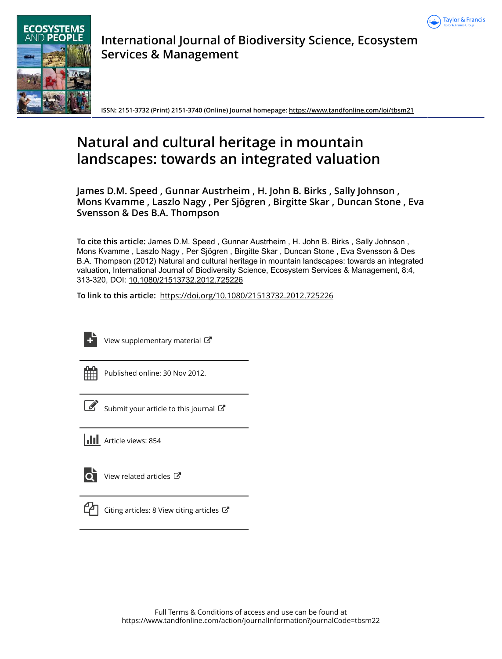



**International Journal of Biodiversity Science, Ecosystem Services & Management**

**ISSN: 2151-3732 (Print) 2151-3740 (Online) Journal homepage:<https://www.tandfonline.com/loi/tbsm21>**

# **Natural and cultural heritage in mountain landscapes: towards an integrated valuation**

**James D.M. Speed , Gunnar Austrheim , H. John B. Birks , Sally Johnson , Mons Kvamme , Laszlo Nagy , Per Sjögren , Birgitte Skar , Duncan Stone , Eva Svensson & Des B.A. Thompson**

**To cite this article:** James D.M. Speed , Gunnar Austrheim , H. John B. Birks , Sally Johnson , Mons Kvamme , Laszlo Nagy , Per Sjögren , Birgitte Skar , Duncan Stone , Eva Svensson & Des B.A. Thompson (2012) Natural and cultural heritage in mountain landscapes: towards an integrated valuation, International Journal of Biodiversity Science, Ecosystem Services & Management, 8:4, 313-320, DOI: [10.1080/21513732.2012.725226](https://www.tandfonline.com/action/showCitFormats?doi=10.1080/21513732.2012.725226)

**To link to this article:** <https://doi.org/10.1080/21513732.2012.725226>



[View supplementary material](https://www.tandfonline.com/doi/suppl/10.1080/21513732.2012.725226)  $\mathbb{Z}$ 

Published online: 30 Nov 2012.

| ł  |  |
|----|--|
| ۰. |  |

[Submit your article to this journal](https://www.tandfonline.com/action/authorSubmission?journalCode=tbsm22&show=instructions)  $\mathbb{Z}$ 





[View related articles](https://www.tandfonline.com/doi/mlt/10.1080/21513732.2012.725226)  $\mathbb{Z}$ 



 $\Box$  [Citing articles: 8 View citing articles](https://www.tandfonline.com/doi/citedby/10.1080/21513732.2012.725226#tabModule)  $\Box$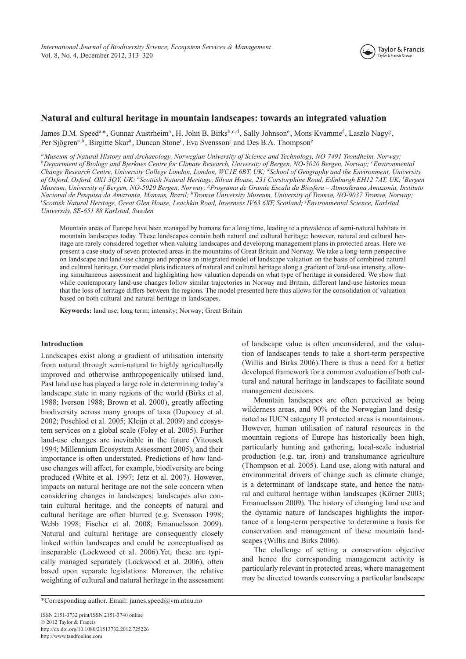

# **Natural and cultural heritage in mountain landscapes: towards an integrated valuation**

James D.M. Speed<sup>a\*</sup>, Gunnar Austrheim<sup>a</sup>, H. John B. Birks<sup>b,c,d</sup>, Sally Johnson<sup>e</sup>, Mons Kvamme<sup>f</sup>, Laszlo Nagy<sup>g</sup>, Per Sjögren<sup>a,h</sup>, Birgitte Skar<sup>a</sup>, Duncan Stone<sup>i</sup>, Eva Svensson<sup>j</sup> and Des B.A. Thompson<sup>e</sup>

*aMuseum of Natural History and Archaeology, Norwegian University of Science and Technology, NO-7491 Trondheim, Norway; bDepartment of Biology and Bjerknes Centre for Climate Research, University of Bergen, NO-5020 Bergen, Norway; <sup>c</sup> Environmental Change Research Centre, University College London, London, WC1E 6BT, UK; dSchool of Geography and the Environment, University of Oxford, Oxford, OX1 3QY, UK; <sup>e</sup> Scottish Natural Heritage, Silvan House, 231 Corstorphine Road, Edinburgh EH12 7AT, UK; <sup>f</sup> Bergen Museum, University of Bergen, NO-5020 Bergen, Norway; gPrograma de Grande Escala da Biosfera – Atmosferana Amazonia, Instituto Nacional de Pesquisa da Amazonia, Manaus, Brazil; hTromsø University Museum, University of Tromsø, NO-9037 Tromsø, Norway; i Scottish Natural Heritage, Great Glen House, Leachkin Road, Inverness IV63 6XF, Scotland; <sup>j</sup> Environmental Science, Karlstad University, SE-651 88 Karlstad, Sweden*

Mountain areas of Europe have been managed by humans for a long time, leading to a prevalence of semi-natural habitats in mountain landscapes today. These landscapes contain both natural and cultural heritage; however, natural and cultural heritage are rarely considered together when valuing landscapes and developing management plans in protected areas. Here we present a case study of seven protected areas in the mountains of Great Britain and Norway. We take a long-term perspective on landscape and land-use change and propose an integrated model of landscape valuation on the basis of combined natural and cultural heritage. Our model plots indicators of natural and cultural heritage along a gradient of land-use intensity, allowing simultaneous assessment and highlighting how valuation depends on what type of heritage is considered. We show that while contemporary land-use changes follow similar trajectories in Norway and Britain, different land-use histories mean that the loss of heritage differs between the regions. The model presented here thus allows for the consolidation of valuation based on both cultural and natural heritage in landscapes.

**Keywords:** land use; long term; intensity; Norway; Great Britain

# **Introduction**

Landscapes exist along a gradient of utilisation intensity from natural through semi-natural to highly agriculturally improved and otherwise anthropogenically utilised land. Past land use has played a large role in determining today's landscape state in many regions of the world (Birks et al. 1988; Iverson 1988; Brown et al. 2000), greatly affecting biodiversity across many groups of taxa (Dupouey et al. 2002; Poschlod et al. 2005; Kleijn et al. 2009) and ecosystem services on a global scale (Foley et al. 2005). Further land-use changes are inevitable in the future (Vitousek 1994; Millennium Ecosystem Assessment 2005), and their importance is often understated. Predictions of how landuse changes will affect, for example, biodiversity are being produced (White et al. 1997; Jetz et al. 2007). However, impacts on natural heritage are not the sole concern when considering changes in landscapes; landscapes also contain cultural heritage, and the concepts of natural and cultural heritage are often blurred (e.g. Svensson 1998; Webb 1998; Fischer et al. 2008; Emanuelsson 2009). Natural and cultural heritage are consequently closely linked within landscapes and could be conceptualised as inseparable (Lockwood et al. 2006).Yet, these are typically managed separately (Lockwood et al. 2006), often based upon separate legislations. Moreover, the relative weighting of cultural and natural heritage in the assessment

\*Corresponding author. Email: [james.speed@vm.ntnu.no](mailto:james.speed@vm.ntnu.no)

of landscape value is often unconsidered, and the valuation of landscapes tends to take a short-term perspective (Willis and Birks 2006).There is thus a need for a better developed framework for a common evaluation of both cultural and natural heritage in landscapes to facilitate sound management decisions.

Mountain landscapes are often perceived as being wilderness areas, and 90% of the Norwegian land designated as IUCN category II protected areas is mountainous. However, human utilisation of natural resources in the mountain regions of Europe has historically been high, particularly hunting and gathering, local-scale industrial production (e.g. tar, iron) and transhumance agriculture (Thompson et al. 2005). Land use, along with natural and environmental drivers of change such as climate change, is a determinant of landscape state, and hence the natural and cultural heritage within landscapes (Körner 2003; Emanuelsson 2009). The history of changing land use and the dynamic nature of landscapes highlights the importance of a long-term perspective to determine a basis for conservation and management of these mountain landscapes (Willis and Birks 2006).

The challenge of setting a conservation objective and hence the corresponding management activity is particularly relevant in protected areas, where management may be directed towards conserving a particular landscape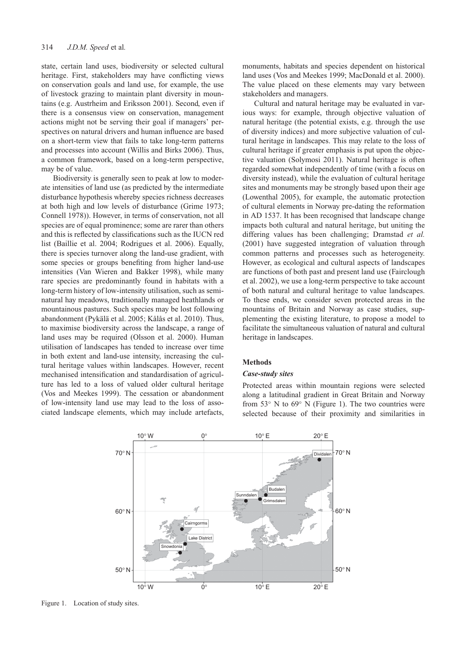state, certain land uses, biodiversity or selected cultural heritage. First, stakeholders may have conflicting views on conservation goals and land use, for example, the use of livestock grazing to maintain plant diversity in mountains (e.g. Austrheim and Eriksson 2001). Second, even if there is a consensus view on conservation, management actions might not be serving their goal if managers' perspectives on natural drivers and human influence are based on a short-term view that fails to take long-term patterns and processes into account (Willis and Birks 2006). Thus, a common framework, based on a long-term perspective, may be of value.

Biodiversity is generally seen to peak at low to moderate intensities of land use (as predicted by the intermediate disturbance hypothesis whereby species richness decreases at both high and low levels of disturbance (Grime 1973; Connell 1978)). However, in terms of conservation, not all species are of equal prominence; some are rarer than others and this is reflected by classifications such as the IUCN red list (Baillie et al. 2004; Rodrigues et al. 2006). Equally, there is species turnover along the land-use gradient, with some species or groups benefiting from higher land-use intensities (Van Wieren and Bakker 1998), while many rare species are predominantly found in habitats with a long-term history of low-intensity utilisation, such as seminatural hay meadows, traditionally managed heathlands or mountainous pastures. Such species may be lost following abandonment (Pykälä et al. 2005; Kålås et al. 2010). Thus, to maximise biodiversity across the landscape, a range of land uses may be required (Olsson et al. 2000). Human utilisation of landscapes has tended to increase over time in both extent and land-use intensity, increasing the cultural heritage values within landscapes. However, recent mechanised intensification and standardisation of agriculture has led to a loss of valued older cultural heritage (Vos and Meekes 1999). The cessation or abandonment of low-intensity land use may lead to the loss of associated landscape elements, which may include artefacts,

monuments, habitats and species dependent on historical land uses (Vos and Meekes 1999; MacDonald et al. 2000). The value placed on these elements may vary between stakeholders and managers.

Cultural and natural heritage may be evaluated in various ways: for example, through objective valuation of natural heritage (the potential exists, e.g. through the use of diversity indices) and more subjective valuation of cultural heritage in landscapes. This may relate to the loss of cultural heritage if greater emphasis is put upon the objective valuation (Solymosi 2011). Natural heritage is often regarded somewhat independently of time (with a focus on diversity instead), while the evaluation of cultural heritage sites and monuments may be strongly based upon their age (Lowenthal 2005), for example, the automatic protection of cultural elements in Norway pre-dating the reformation in AD 1537. It has been recognised that landscape change impacts both cultural and natural heritage, but uniting the differing values has been challenging; Dramstad *et al.* (2001) have suggested integration of valuation through common patterns and processes such as heterogeneity. However, as ecological and cultural aspects of landscapes are functions of both past and present land use (Fairclough et al. 2002), we use a long-term perspective to take account of both natural and cultural heritage to value landscapes. To these ends, we consider seven protected areas in the mountains of Britain and Norway as case studies, supplementing the existing literature, to propose a model to facilitate the simultaneous valuation of natural and cultural heritage in landscapes.

#### **Methods**

#### *Case-study sites*

Protected areas within mountain regions were selected along a latitudinal gradient in Great Britain and Norway from 53◦ N to 69◦ N (Figure 1). The two countries were selected because of their proximity and similarities in



Figure 1. Location of study sites.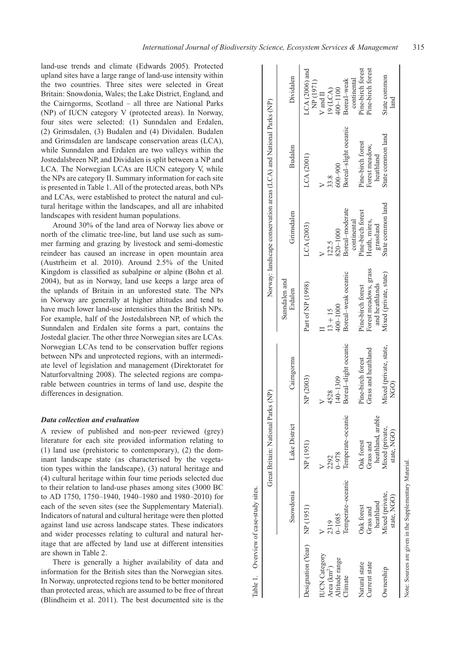land-use trends and climate (Edwards 2005). Protected upland sites have a large range of land-use intensity within the two countries. Three sites were selected in Great Britain: Snowdonia, Wales; the Lake District, England, and the Cairngorms, Scotland – all three are National Parks (NP) of IUCN category V (protected areas). In Norway, four sites were selected: (1) Sunndalen and Erdalen, (2) Grimsdalen, (3) Budalen and (4) Dividalen. Budalen and Grimsdalen are landscape conservation areas (LCA), while Sunndalen and Erdalen are two valleys within the Jostedalsbreen NP, and Dividalen is split between a NP and LCA. The Norwegian LCAs are IUCN category V, while

is presented in Table 1. All of the protected areas, both NPs and LCAs, were established to protect the natural and cultural heritage within the landscapes, and all are inhabited landscapes with resident human populations. Around 30% of the land area of Norway lies above or north of the climatic tree-line, but land use such as summer farming and grazing by livestock and semi-domestic reindeer has caused an increase in open mountain area (Austrheim et al. 2010). Around 2.5% of the United Kingdom is classified as subalpine or alpine (Bohn et al. 2004), but as in Norway, land use keeps a large area of the uplands of Britain in an unforested state. The NPs in Norway are generally at higher altitudes and tend to have much lower land-use intensities than the British NPs. For example, half of the Jostedalsbreen NP, of which the Sunndalen and Erdalen site forms a part, contains the Jostedal glacier. The other three Norwegian sites are LCAs. Norwegian LCAs tend to be conservation buffer regions between NPs and unprotected regions, with an intermediate level of legislation and management (Direktoratet for Naturforvaltning 2008). The selected regions are comparable between countries in terms of land use, despite the differences in designation.

the NPs are category II. Summary information for each site

#### *Data collection and evaluation*

A review of published and non-peer reviewed (grey) literature for each site provided information relating to (1) land use (prehistoric to contemporary), (2) the dominant landscape state (as characterised by the vegetation types within the landscape), (3) natural heritage and (4) cultural heritage within four time periods selected due to their relation to land-use phases among sites (3000 BC to AD 1750, 1750–1940, 1940–1980 and 1980–2010) for each of the seven sites (see the Supplementary Material). Indicators of natural and cultural heritage were then plotted against land use across landscape states. These indicators and wider processes relating to cultural and natural heritage that are affected by land use at different intensities are shown in Table 2.

There is generally a higher availability of data and information for the British sites than the Norwegian sites. In Norway, unprotected regions tend to be better monitored than protected areas, which are assumed to be free of threat (Blindheim et al. 2011). The best documented site is the

|                              |                                | Great Britain: National Parks (NP) |                                      |                                         |                                  | Norway: landscape conservation areas (LCA) and National Parks (NP) |                                         |
|------------------------------|--------------------------------|------------------------------------|--------------------------------------|-----------------------------------------|----------------------------------|--------------------------------------------------------------------|-----------------------------------------|
|                              | Snowdonia                      | Lake District                      | Cairngorms                           | Sunndalen and<br>Erdalen                | Grimsdalen                       | Budalen                                                            | Dividalen                               |
| Designation (Year) NP (1951) |                                | NP (1951)                          | NP (2003)                            | Part of NP (1998)                       | LCA (2003)                       | LCA (2001)                                                         | $\mathcal{L}$ A (2006) and<br>NP (1971) |
| <b>UCN</b> Category          |                                |                                    |                                      |                                         |                                  |                                                                    | V and II                                |
| Area (km <sup>2</sup> )      | 2319                           | 2292                               | 4528                                 | $13 + 15$                               |                                  | 33.8                                                               | 19 (LCA)                                |
| Altitude range               | $0 - 1085$                     | $0 - 978$                          | $140 - 1309$                         | 400-1000                                | 122.5<br>820-1000                | $006 - 000$                                                        | 400-1100                                |
| <b>Climate</b>               | l'emperate-oceanic             | Temperate-oceanic                  | Boreal-slight oceanic                | Boreal-weak oceanic                     | Boreal-moderate                  | Boreal-slight oceanic                                              | Boreal-weak                             |
| Natural state                | Oak forest                     | Oak forest                         | Pine-birch forest                    | Pine-birch forest                       | Pine-birch forest<br>continental | Pine-birch forest                                                  | Pine-birch forest<br>continental        |
| Current state                | heathland<br>Grass and         | heathland, arable<br>Grass and     | Grass and heathland                  | Forest meadows, grass<br>and heathlands | Heath, mires,<br>grassland       | Forest meadow,<br>heathland                                        | Pine-birch forest                       |
| Ownership                    | Mixed (private,<br>state, NGO) | Mixed (private,<br>state, NGO)     | Mixed (private, state,<br><b>CON</b> | Mixed (private, state)                  | State common land                | State common land                                                  | State common<br>land                    |

Note: Sources are given in the Supplementary Material.Sources are given in the Supplementary Material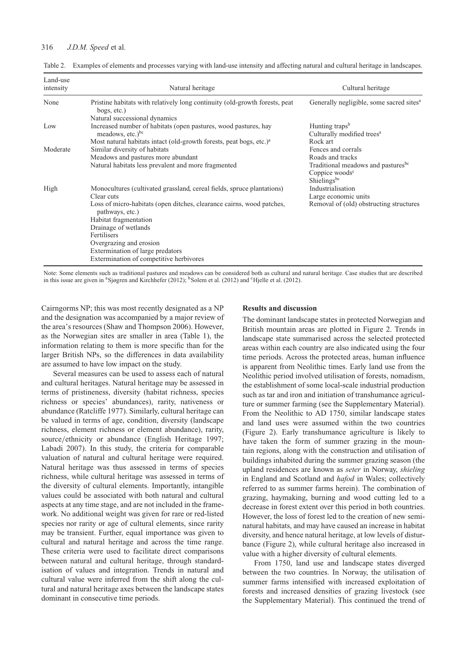| Land-use<br>intensity | Natural heritage                                                                           | Cultural heritage                                                                           |
|-----------------------|--------------------------------------------------------------------------------------------|---------------------------------------------------------------------------------------------|
| None                  | Pristine habitats with relatively long continuity (old-growth forests, peat<br>bogs, etc.) | Generally negligible, some sacred sites <sup>a</sup>                                        |
|                       | Natural successional dynamics                                                              |                                                                                             |
| Low                   | Increased number of habitats (open pastures, wood pastures, hay<br>meadows, etc.) $^{bc}$  | Hunting traps <sup>b</sup><br>Culturally modified trees <sup>a</sup>                        |
|                       | Most natural habitats intact (old-growth forests, peat bogs, etc.) <sup>a</sup>            | Rock art                                                                                    |
| Moderate              | Similar diversity of habitats                                                              | Fences and corrals                                                                          |
|                       | Meadows and pastures more abundant                                                         | Roads and tracks                                                                            |
|                       | Natural habitats less prevalent and more fragmented                                        | Traditional meadows and pastures <sup>bc</sup><br>Coppice woods <sup>c</sup><br>Shielingsbc |
| High                  | Monocultures (cultivated grassland, cereal fields, spruce plantations)<br>Clear cuts       | Industrialisation<br>Large economic units                                                   |
|                       | Loss of micro-habitats (open ditches, clearance cairns, wood patches,<br>pathways, etc.)   | Removal of (old) obstructing structures                                                     |
|                       | Habitat fragmentation                                                                      |                                                                                             |
|                       | Drainage of wetlands                                                                       |                                                                                             |
|                       | Fertilisers                                                                                |                                                                                             |
|                       | Overgrazing and erosion                                                                    |                                                                                             |
|                       | Extermination of large predators                                                           |                                                                                             |
|                       | Extermination of competitive herbivores                                                    |                                                                                             |

Table 2. Examples of elements and processes varying with land-use intensity and affecting natural and cultural heritage in landscapes.

Note: Some elements such as traditional pastures and meadows can be considered both as cultural and natural heritage. Case studies that are described in this issue are given in <sup>a</sup>Sjøgren and Kirchhefer (2012); <sup>b</sup>Solem et al. (2012) and <sup>c</sup>Hjelle et al. (2012).

Cairngorms NP; this was most recently designated as a NP and the designation was accompanied by a major review of the area's resources (Shaw and Thompson 2006). However, as the Norwegian sites are smaller in area (Table 1), the information relating to them is more specific than for the larger British NPs, so the differences in data availability are assumed to have low impact on the study.

Several measures can be used to assess each of natural and cultural heritages. Natural heritage may be assessed in terms of pristineness, diversity (habitat richness, species richness or species' abundances), rarity, nativeness or abundance (Ratcliffe 1977). Similarly, cultural heritage can be valued in terms of age, condition, diversity (landscape richness, element richness or element abundance), rarity, source/ethnicity or abundance (English Heritage 1997; Labadi 2007). In this study, the criteria for comparable valuation of natural and cultural heritage were required. Natural heritage was thus assessed in terms of species richness, while cultural heritage was assessed in terms of the diversity of cultural elements. Importantly, intangible values could be associated with both natural and cultural aspects at any time stage, and are not included in the framework. No additional weight was given for rare or red-listed species nor rarity or age of cultural elements, since rarity may be transient. Further, equal importance was given to cultural and natural heritage and across the time range. These criteria were used to facilitate direct comparisons between natural and cultural heritage, through standardisation of values and integration. Trends in natural and cultural value were inferred from the shift along the cultural and natural heritage axes between the landscape states dominant in consecutive time periods.

## **Results and discussion**

The dominant landscape states in protected Norwegian and British mountain areas are plotted in Figure 2. Trends in landscape state summarised across the selected protected areas within each country are also indicated using the four time periods. Across the protected areas, human influence is apparent from Neolithic times. Early land use from the Neolithic period involved utilisation of forests, nomadism, the establishment of some local-scale industrial production such as tar and iron and initiation of transhumance agriculture or summer farming (see the Supplementary Material). From the Neolithic to AD 1750, similar landscape states and land uses were assumed within the two countries (Figure 2). Early transhumance agriculture is likely to have taken the form of summer grazing in the mountain regions, along with the construction and utilisation of buildings inhabited during the summer grazing season (the upland residences are known as *seter* in Norway, *shieling* in England and Scotland and *hafod* in Wales; collectively referred to as summer farms herein). The combination of grazing, haymaking, burning and wood cutting led to a decrease in forest extent over this period in both countries. However, the loss of forest led to the creation of new seminatural habitats, and may have caused an increase in habitat diversity, and hence natural heritage, at low levels of disturbance (Figure 2), while cultural heritage also increased in value with a higher diversity of cultural elements.

From 1750, land use and landscape states diverged between the two countries. In Norway, the utilisation of summer farms intensified with increased exploitation of forests and increased densities of grazing livestock (see the Supplementary Material). This continued the trend of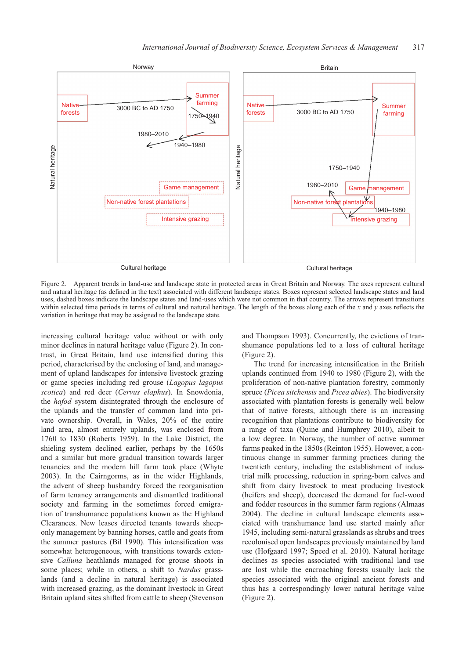

Figure 2. Apparent trends in land-use and landscape state in protected areas in Great Britain and Norway. The axes represent cultural and natural heritage (as defined in the text) associated with different landscape states. Boxes represent selected landscape states and land uses, dashed boxes indicate the landscape states and land-uses which were not common in that country. The arrows represent transitions within selected time periods in terms of cultural and natural heritage. The length of the boxes along each of the *x* and *y* axes reflects the variation in heritage that may be assigned to the landscape state.

increasing cultural heritage value without or with only minor declines in natural heritage value (Figure 2). In contrast, in Great Britain, land use intensified during this period, characterised by the enclosing of land, and management of upland landscapes for intensive livestock grazing or game species including red grouse (*Lagopus lagopus scotica*) and red deer (*Cervus elaphus*). In Snowdonia, the *hafod* system disintegrated through the enclosure of the uplands and the transfer of common land into private ownership. Overall, in Wales, 20% of the entire land area, almost entirely uplands, was enclosed from 1760 to 1830 (Roberts 1959). In the Lake District, the shieling system declined earlier, perhaps by the 1650s and a similar but more gradual transition towards larger tenancies and the modern hill farm took place (Whyte 2003). In the Cairngorms, as in the wider Highlands, the advent of sheep husbandry forced the reorganisation of farm tenancy arrangements and dismantled traditional society and farming in the sometimes forced emigration of transhumance populations known as the Highland Clearances. New leases directed tenants towards sheeponly management by banning horses, cattle and goats from the summer pastures (Bil 1990). This intensification was somewhat heterogeneous, with transitions towards extensive *Calluna* heathlands managed for grouse shoots in some places; while in others, a shift to *Nardus* grasslands (and a decline in natural heritage) is associated with increased grazing, as the dominant livestock in Great Britain upland sites shifted from cattle to sheep (Stevenson

and Thompson 1993). Concurrently, the evictions of transhumance populations led to a loss of cultural heritage (Figure 2).

The trend for increasing intensification in the British uplands continued from 1940 to 1980 (Figure 2), with the proliferation of non-native plantation forestry, commonly spruce (*Picea sitchensis* and *Picea abies*). The biodiversity associated with plantation forests is generally well below that of native forests, although there is an increasing recognition that plantations contribute to biodiversity for a range of taxa (Quine and Humphrey 2010), albeit to a low degree. In Norway, the number of active summer farms peaked in the 1850s (Reinton 1955). However, a continuous change in summer farming practices during the twentieth century, including the establishment of industrial milk processing, reduction in spring-born calves and shift from dairy livestock to meat producing livestock (heifers and sheep), decreased the demand for fuel-wood and fodder resources in the summer farm regions (Almaas 2004). The decline in cultural landscape elements associated with transhumance land use started mainly after 1945, including semi-natural grasslands as shrubs and trees recolonised open landscapes previously maintained by land use (Hofgaard 1997; Speed et al. 2010). Natural heritage declines as species associated with traditional land use are lost while the encroaching forests usually lack the species associated with the original ancient forests and thus has a correspondingly lower natural heritage value (Figure 2).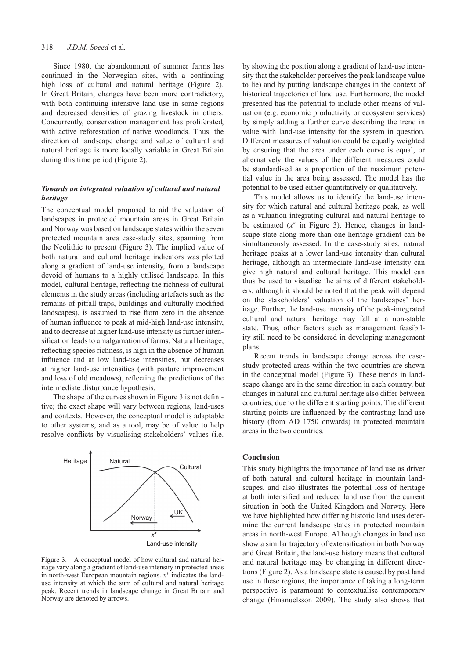### 318 *J.D.M. Speed* et al*.*

Since 1980, the abandonment of summer farms has continued in the Norwegian sites, with a continuing high loss of cultural and natural heritage (Figure 2). In Great Britain, changes have been more contradictory, with both continuing intensive land use in some regions and decreased densities of grazing livestock in others. Concurrently, conservation management has proliferated, with active reforestation of native woodlands. Thus, the direction of landscape change and value of cultural and natural heritage is more locally variable in Great Britain during this time period (Figure 2).

# *Towards an integrated valuation of cultural and natural heritage*

The conceptual model proposed to aid the valuation of landscapes in protected mountain areas in Great Britain and Norway was based on landscape states within the seven protected mountain area case-study sites, spanning from the Neolithic to present (Figure 3). The implied value of both natural and cultural heritage indicators was plotted along a gradient of land-use intensity, from a landscape devoid of humans to a highly utilised landscape. In this model, cultural heritage, reflecting the richness of cultural elements in the study areas (including artefacts such as the remains of pitfall traps, buildings and culturally-modified landscapes), is assumed to rise from zero in the absence of human influence to peak at mid-high land-use intensity, and to decrease at higher land-use intensity as further intensification leads to amalgamation of farms. Natural heritage, reflecting species richness, is high in the absence of human influence and at low land-use intensities, but decreases at higher land-use intensities (with pasture improvement and loss of old meadows), reflecting the predictions of the intermediate disturbance hypothesis.

The shape of the curves shown in Figure 3 is not definitive; the exact shape will vary between regions, land-uses and contexts. However, the conceptual model is adaptable to other systems, and as a tool, may be of value to help resolve conflicts by visualising stakeholders' values (i.e.



Figure 3. A conceptual model of how cultural and natural heritage vary along a gradient of land-use intensity in protected areas in north-west European mountain regions. *x*<sup>∗</sup> indicates the landuse intensity at which the sum of cultural and natural heritage peak. Recent trends in landscape change in Great Britain and Norway are denoted by arrows.

by showing the position along a gradient of land-use intensity that the stakeholder perceives the peak landscape value to lie) and by putting landscape changes in the context of historical trajectories of land use. Furthermore, the model presented has the potential to include other means of valuation (e.g. economic productivity or ecosystem services) by simply adding a further curve describing the trend in value with land-use intensity for the system in question. Different measures of valuation could be equally weighted by ensuring that the area under each curve is equal, or alternatively the values of the different measures could be standardised as a proportion of the maximum potential value in the area being assessed. The model has the potential to be used either quantitatively or qualitatively.

This model allows us to identify the land-use intensity for which natural and cultural heritage peak, as well as a valuation integrating cultural and natural heritage to be estimated (*X*<sup>∗</sup> in Figure 3). Hence, changes in landscape state along more than one heritage gradient can be simultaneously assessed. In the case-study sites, natural heritage peaks at a lower land-use intensity than cultural heritage, although an intermediate land-use intensity can give high natural and cultural heritage. This model can thus be used to visualise the aims of different stakeholders, although it should be noted that the peak will depend on the stakeholders' valuation of the landscapes' heritage. Further, the land-use intensity of the peak-integrated cultural and natural heritage may fall at a non-stable state. Thus, other factors such as management feasibility still need to be considered in developing management plans.

Recent trends in landscape change across the casestudy protected areas within the two countries are shown in the conceptual model (Figure 3). These trends in landscape change are in the same direction in each country, but changes in natural and cultural heritage also differ between countries, due to the different starting points. The different starting points are influenced by the contrasting land-use history (from AD 1750 onwards) in protected mountain areas in the two countries.

# **Conclusion**

This study highlights the importance of land use as driver of both natural and cultural heritage in mountain landscapes, and also illustrates the potential loss of heritage at both intensified and reduced land use from the current situation in both the United Kingdom and Norway. Here we have highlighted how differing historic land uses determine the current landscape states in protected mountain areas in north-west Europe. Although changes in land use show a similar trajectory of extensification in both Norway and Great Britain, the land-use history means that cultural and natural heritage may be changing in different directions (Figure 2). As a landscape state is caused by past land use in these regions, the importance of taking a long-term perspective is paramount to contextualise contemporary change (Emanuelsson 2009). The study also shows that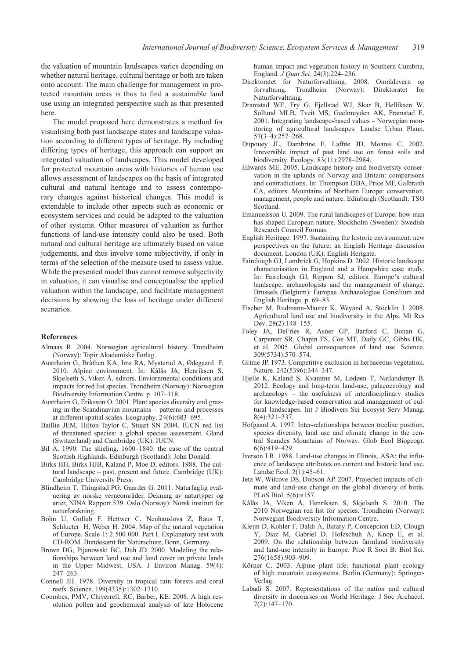the valuation of mountain landscapes varies depending on whether natural heritage, cultural heritage or both are taken onto account. The main challenge for management in protected mountain areas is thus to find a sustainable land use using an integrated perspective such as that presented here.

The model proposed here demonstrates a method for visualising both past landscape states and landscape valuation according to different types of heritage. By including differing types of heritage, this approach can support an integrated valuation of landscapes. This model developed for protected mountain areas with histories of human use allows assessment of landscapes on the basis of integrated cultural and natural heritage and to assess contemporary changes against historical changes. This model is extendable to include other aspects such as economic or ecosystem services and could be adapted to the valuation of other systems. Other measures of valuation as further functions of land-use intensity could also be used. Both natural and cultural heritage are ultimately based on value judgements, and thus involve some subjectivity, if only in terms of the selection of the measure used to assess value. While the presented model thus cannot remove subjectivity in valuation, it can visualise and conceptualise the applied valuation within the landscape, and facilitate management decisions by showing the loss of heritage under different scenarios.

#### **References**

- Almaas R. 2004. Norwegian agricultural history. Trondheim (Norway): Tapir Akademiske Forlag.
- Austrheim G, Bråthen KA, Ims RA, Mysterud A, Ødegaard F. 2010. Alpine environment. In: Kålås JA, Henriksen S, Skjelseth S, Viken Å, editors. Enviornmental conditions and impacts for red list species. Trondheim (Norway): Norwegian Biodiversity Information Centre. p. 107–118.
- Austrheim G, Eriksson O. 2001. Plant species diversity and grazing in the Scandinavian mountains – patterns and processes at different spatial scales. Ecography. 24(6):683–695.
- Baillie JEM, Hilton-Taylor C, Stuart SN 2004. IUCN red list of threatened species: a global species assessment. Gland (Switzerland) and Cambridge (UK): IUCN.
- Bil A. 1990. The shieling, 1600–1840: the case of the central Scottish Highlands. Edinburgh (Scotland): John Donald.
- Birks HH, Birks HJB, Kaland P, Moe D, editors. 1988. The cultural landscape – past, present and future. Cambridge (UK): Cambridge University Press.
- Blindheim T, Thingstad PG, Gaarder G. 2011. Naturfaglig evaluering av norske verneområder. Dekning av naturtyper og arter, NINA Rapport 539. Oslo (Norway): Norsk institutt for naturforskning.
- Bohn U, Gollub F, Hettwer C, Neuhauslova Z, Raus T, Schlueter H, Weber H. 2004. Map of the natural vegetation of Europe. Scale 1: 2 500 000. Part I. Explanatory text with CD-ROM. Bundesamt für Naturschutz, Bonn, Germany.
- Brown DG, Pijanowski BC, Duh JD. 2000. Modeling the relationships between land use and land cover on private lands in the Upper Midwest, USA. J Environ Manag. 59(4): 247–263.
- Connell JH. 1978. Diversity in tropical rain forests and coral reefs. Science. 199(4335):1302–1310.
- Coombes, PMV, Chiverrell, RC, Barber, KE. 2008. A high resolution pollen and geochemical analysis of late Holocene

human impact and vegetation history in Southern Cumbria, England. *J Quat Sci*. 24(3):224–236.

- Direktoratet for Naturforvaltning. 2008. Områdevern og forvaltning. Trondheim (Norway): Direktoratet for Naturforvaltning.
- Dramstad WE, Fry G, Fjellstad WJ, Skar B, Helliksen W, Sollund MLB, Tveit MS, Geelmuyden AK, Framstad E. 2001. Integrating landscape-based values – Norwegian monitoring of agricultural landscapes. Landsc Urban Plann. 57(3–4):257–268.
- Dupouey JL, Dambrine E, Laffite JD, Moares C. 2002. Irreversible impact of past land use on forest soils and biodiversity. Ecology. 83(11):2978–2984.
- Edwards ME. 2005. Landscape history and biodiversity conservation in the uplands of Norway and Britain: comparisons and contradictions. In: Thompson DBA, Price MF, Galbraith CA, editors. Mountains of Northern Europe: conservation, management, people and nature. Edinburgh (Scotland): TSO Scotland.
- Emanuelsson U. 2009. The rural landscapes of Europe: how man has shaped European nature. Stockholm (Sweden): Swedish Research Council Formas.
- English Heritage. 1997. Sustaining the historic environment: new perspectives on the future: an English Heritage discussion document. London (UK): English Herigate.
- Fairclough GJ, Lambrick G, Hopkins D. 2002. Historic landscape characterisation in England and a Hampshire case study. In: Fairclough GJ, Rippon SJ, editors. Europe's cultural landscape: archaeologists and the management of change. Brussels (Belgium): Europae Archaeologiae Consilium and English Heritage. p. 69–83.
- Fischer M, Rudmann-Maurer K, Weyand A, Stöcklin J. 2008. Agricultural land use and biodiversity in the Alps. Mt Res Dev. 28(2):148–155.
- Foley JA, DeFries R, Asner GP, Barford C, Bonan G, Carpenter SR, Chapin FS, Coe MT, Daily GC, Gibbs HK, et al. 2005. Global consequences of land use. Science. 309(5734):570–574.
- Grime JP. 1973. Competitive exclusion in herbaceous vegetation. Nature. 242(5396):344–347.
- Hjelle K, Kaland S, Kvamme M, Lødøen T, Natlandsmyr B. 2012. Ecology and long-term land-use, palaeoecology and archaeology – the usefulness of interdisciplinary studies for knowledge-based conservation and management of cultural landscapes. Int J Biodivers Sci Ecosyst Serv Manag. 8(4):321–337.
- Hofgaard A. 1997. Inter-relationships between treeline position, species diversity, land use and climate change in the central Scandes Mountains of Norway. Glob Ecol Biogeogr. 6(6):419–429.
- Iverson LR. 1988. Land-use changes in Illinois, ASA: the influence of landscape attributes on current and historic land use. Landsc Ecol. 2(1):45–61.
- Jetz W, Wilcove DS, Dobson AP. 2007. Projected impacts of climate and land-use change on the global diversity of birds. PLoS Biol. 5(6):e157.
- Kålås JA, Viken Å, Henriksen S, Skjelseth S. 2010. The 2010 Norwegian red list for species. Trondheim (Norway): Norwegian Biodiversity Information Centre.
- Kleijn D, Kohler F, Baldi A, Batary P, Concepcion ED, Clough Y, Diaz M, Gabriel D, Holzschuh A, Knop E, et al. 2009. On the relationship between farmland biodiversity and land-use intensity in Europe. Proc R Soci B: Biol Sci. 276(1658):903–909.
- Körner C. 2003. Alpine plant life: functional plant ecology of high mountain ecosystems. Berlin (Germany): Springer-Verlag.
- Labadi S. 2007. Representations of the nation and cultural diversity in discourses on World Heritage. J Soc Archaeol. 7(2):147–170.